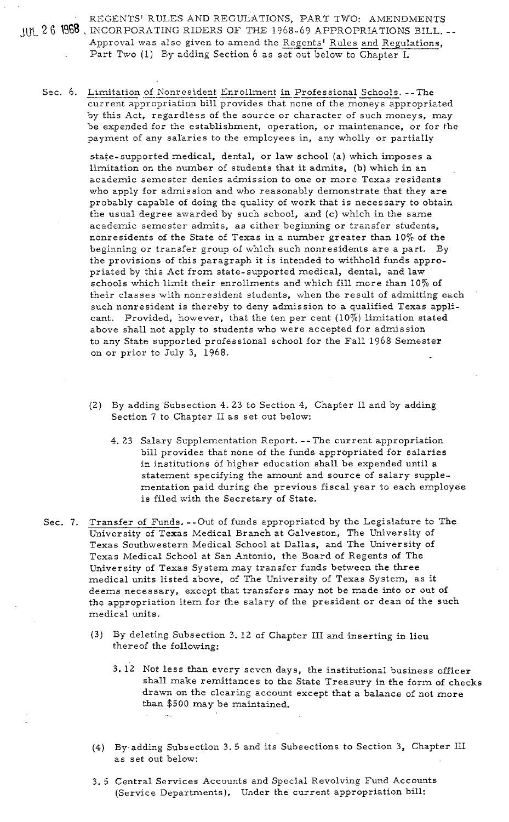REGENTS' RULES AND REGULATIONS, PART TWO: AMENDMENTS JUL 26 1968, INCORPORATING RIDERS OF THE 1968-69 APPROPRIATIONS BILL. REGENTS' RULES AND REGULATIONS, PART TWO: AMENDMENTS<br>INCORPORATING RIDERS OF THE 1968-69 APPROPRIATIONS BILL.<br>Approval was also given to amend the <u>Regents' Rules and Regulations,</u><br>Part Two (1) By adding Section 6 as set o Approval was also given to amend the Regents' Rules and Regulations, Part Two (1) By adding Section 6 as set out below to Chapter I.

Sec. 6. Limitation of Nonresident Enrollment in Professional Schools. --The current appropriation bill provides that none of the moneys appropriated by this Act, regardless of the source or character of such moneys, may be expended for the establishment, operation, or maintenance, or for the payment of any salaries to the employees in, any wholly or partially

> state-supported medical, dental, or law school (a) which imposes a limitation on the nurnber of students that it admits, (b) which in an academic semester denies admission to one or more Texas residents who apply for admission and who reasonably demonstrate that they are probably capable of doing the quality of work that is necessary to obtair, the usual degree awarded by such school, and **(c)** which in the same academic semester admits, as either beginning or transfer students, nonresidents of the State of Texas in a number greater than 10% of the beginning or transfer group of which such nonresidents are a part. By the provisions of this paragraph it is intended to withhold funds appropriated by this Act from state-supported medical, dental, and law schools which limit their enrollments and which fill more than 10% of their classes with nonresident students, when the result of admitting each such nonresident is thereby to deny admission to a qualified Texas applicant. Provided, however, that the ten per cent (10%) limitation stated above shall not apply to students who were accepted for adnission to any State supported professional school for the Fall 1968 Semester on or prior to July 3, 1968.

- (2) By adding Subsection 4. 23 to Section 4, Chapter I1 and by adding Section 7 to Chapter I1 as set out below:
	- 4. 23 Salary Supplementation Report. --The current appropriation bill provides that none of the funds appropriated for salaries in institutions of higher education shall be expended until a statement specifying the amount and source of salary supplementation paid during the previous fiscal year to each employee is filed with the Secretary of State.

Sec. **7.** Transfer of Funds. --Out of funds appropriated by the Legislature to The University of Texas Medical Branch at Galveston, The University of Texas Southwestern Medical School at Dallas, and The University of Texas Medical School at San Antonio, the Soard of Regents of The University of Texas System may transfer funds between the three medical units listed above, of Tne University of Texas System, as it deems necessary, except that transfers may not be made into or out of the appropriation item for the salary of the president or dean of the such medical units.

- (3) By deleting Subsection 3. 12 of Chapter 111 and inserting in lieu thereof the following:
	- 3. 12 Not less than every seven days, the institutional business officer shall make remittances to the State Treasury in the form of checks drawn on the clearing account except that a balance of not more than \$500 may be maintained.
- **(4)** By.adding Subsection 3. 5 and its Subsections to Section **3,** Chapter I11 as set out below:
- 3.5 Central Services Accounts and Special Revolving Fund Accounts (Service Departments). Under the current appropriation bill: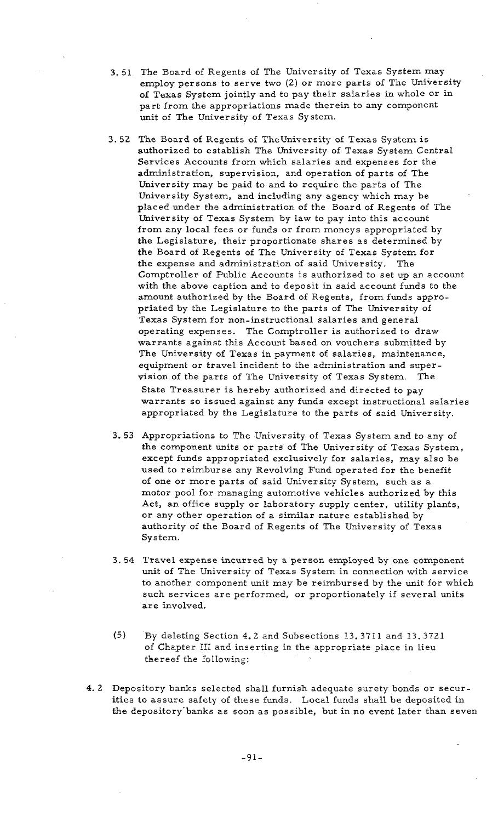- 3. 51 The Board of Regents of The University of Texas System may employ persons to serve two (2) or more parts of The University of Texas System jointly and to pay their salaries in whole or in part from the appropriations made therein to any component unit of The University of Texas System.
- **3.** 52 The Board of Regents of Theuniversity of Texas System is authorized to establish The University of Texas System Central Services Accounts from which salaries and expenses for the administration, supervision, and operation of parts of The University may be paid to and to require the parts of The University System, and including any agency which may be placed under the administration of the Board of Regents of The University of Texas System by law to pay into this account from any local fees or funds or from moneys appropriated by the Legislature, their proportionate shares as determined by the Board of Regents of The University of Texas System for the expense and administration of said University. The Comptroller of Public Accounts is authorized to set up an account with the above caption and to deposit in said account funds to the amount authorized by the Board of Regents, from funds appropriated by the Legislature to the parts of The University of Texas System for non-instructional salaries and general operating expenses. The Comptroller is authorized to draw warrants against this Account based on vouchers submitted by The University of Texas in payment of salaries, maintenance, equipment or travel incident to the administration and supervision of the parts of The University of Texas System. The State Treasurer is hereby authorized and directed to pay warrants so issued against any funds except instructional salaries appropriated by the Legislature to the parts of said University.
- 3. 53 Appropriations to The University of Texas System and to any of the component units or parts of The University of Texas System, except funds appropriated exclusively for salaries, may also be used to reimburse any Revolving Fund operated for the benefit of one or more parts of said University System, such as a motor pool for managing automotive vehicles authorized by this Act, an office supply or laboratory supply center, utility plants, or any other operation of a similar nature established by authority of the Board of Regents of The University of Texas System.
- **3.** 54 Travel expense incurred by a person employed by one component unit of The University of Texas System in connection with service to another component unit may be reimbursed by the unit for which such services are performed, or proportionately if several units are involved.
- (5) By deleting Section 4.2 and Subsections 13.3711 and 13.3721 of Chapter 111 and inserting in the appropriate place in lieu thereof the following:
- **4.** 2 Depository banks selected shall furnish adequate surety bonds or securities to assure safety of these funds. Local funds shall be deposited in the depository'banks as soon as possible, but in no event later than seven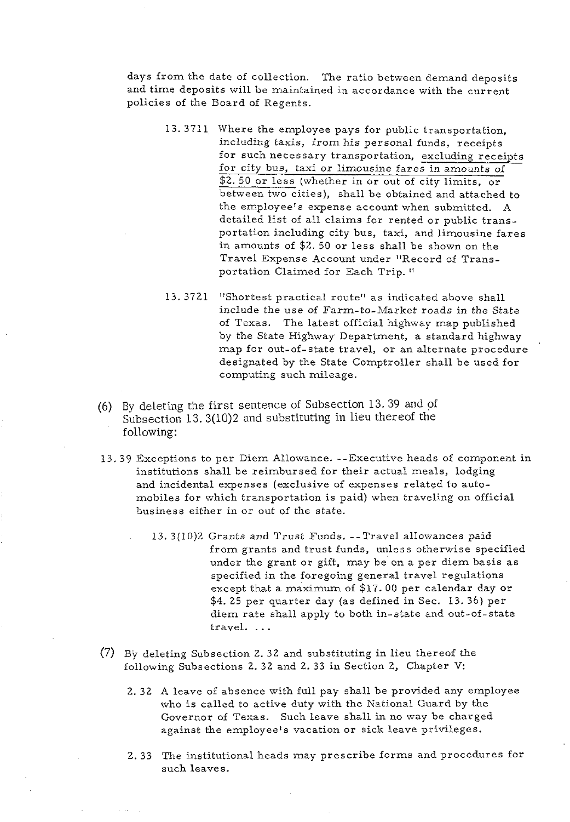days from the date of collection. The ratio between demand deposits and time deposits will be maintained in accordance with the current policies of the Board of Regents.

- 13.3711 Where the employee pays for public transportation, including taxis, from his personal funds, receipts for such necessary transportation, excluding receipts for city bus, taxi or limousine fares in amounts of \$2. 50 or less (whether in or out of city limits, or between two cities), shall be obtained and attached to the employee's expense account when submitted. A detailed list of all claims for rented or public transportation including city bus, taxi, and limousine fares in amounts of \$2. 50 or less shall be shown on the Travel Expense Account under "Record of Transportation Claimed for Each Trip. "
- 13.3721 "Shortest practical route" as indicated above shall include the use of Farm-to-Market roads in the State of Texas. The latest official highway map published by the State Highway Department, a standard highway map for out-of-state travel, or an alternate procedure designated by the State Comptroller shall be used for computing such mileage.
- (6) By deleting the first sentence of Subsection 13. 39 and of Subsection 13. 3(10)2 and substituting in lieu thereof the following:
- 13.39 Exceptions to per Diem Allowance. --Executive heads of component in institutions shall be reimbursed for their actual meals, lodging and incidental expenses (exclusive of expenses related to automobiles for which transportation is paid) when traveling on official business either in or out of the state.
	- 13. 3(10)2 Grants and Trust Funds. --Travel allowances paid from grants and trust funds, unless otherwise specified under the grant or gift, may be on a per diem basis as specified in the foregoing general travel regulations except that a maximum of \$17.00 per calendar day or \$4. 25 per quarter day (as defined in Sec. 13.36) per diem rate shall apply to both in-state and out-of-state travel. . . .
- (7) By deleting Subsection 2. 32 and substituting in lieu thereof the following Subsections 2. 32 and 2. 33 in Section 2, Chapter V:
	- 2.32 A leave of absence with full pay shall be provided any employee who is called to active duty with the National Guard by the Governor of Texas. Such leave shall in no way be charged against the employee's vacation or sick leave privileges.
	- 2.33 The institutional heads may prescribe forms and procedures for such leaves.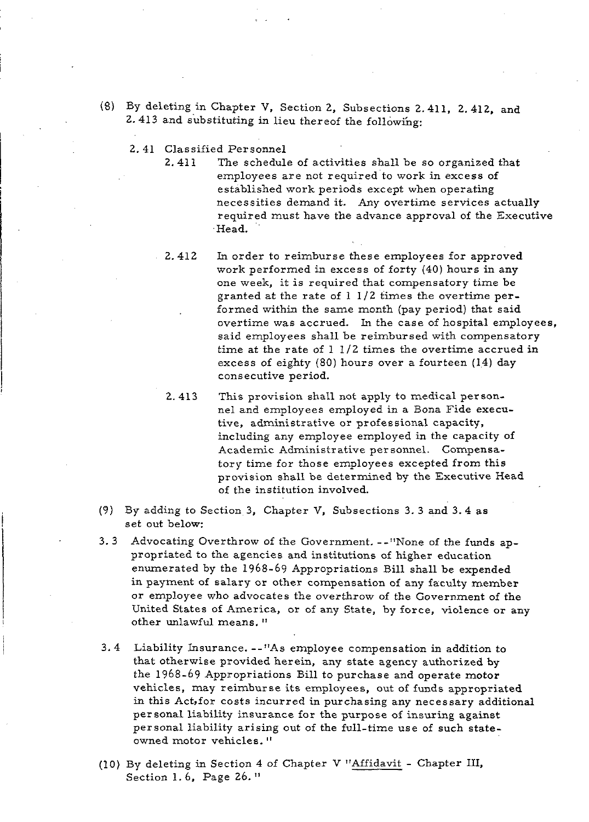- (8) By deleting in Chapter V. Section 2, Subsections 2.411, 2.412, and 2.413 and substituting in lieu thereof the following:
	- 2. 41 Classified Personnel

2.411 The schedule of activities shall be so organized that employees are not required to work in excess of established work periods except when operating necessities demand it. Any overtime services actually required must have the advance approval of the Executive Head.

2.412 In order to reimburse these employees for approved work performed in excess of forty (40) hours in any one week, it is required that compensatory time be granted at the rate of 1 1/2 times the overtime performed within the same month (pay period) that said overtime was accrued. In the case of hospital employees, said employees shall be reimbursed with compensatory time at the rate of  $1 \frac{1}{2}$  times the overtime accrued in excess of eighty (80) hours over a fourteen (14) day consecutive period.

2. 413 This provision shall not apply to medical personnel and employees employed in a Bona Fide executive, administrative or professional capacity, including any employee employed in the capacity of Academic Administrative personnel. Compensatory time for those employees excepted from this provision shall be determined by the Executive Head of the institution involved.

- (9) By adding to Section **3,** Chapter V, Subsections **3. 3** and **3.4** as set out below:
- **3. 3** Advocating Overthrow of the Government. --"None of the funds appropriated to the agencies and institutions of higher education enumerated by the 1968-69 Appropriations Bill shall be expended in payment of salary or other compensation of any faculty member or employee who advocates the overthrow of the Government of the United States of America, or of any State, by force, violence or any other unlawful means. "
- **3.4** Liability Insurance. --"As employee compensation in addition to that otherwise provided herein, any state agency authorized by the 1968-69 Appropriations Bill to purchase and operate motor vehicles, may reimburse its employees, out of funds appropriated in this Act,for costs incurred in purchasing any necessary additional personal liability insurance for the purpose of insuring against personal liability arising out of the full-time use of such stateowned motor vehicles. "
- (10) By deleting in Section 4 of Chapter V "Affidavit Chapter **111,**  Section 1.6, Page 26."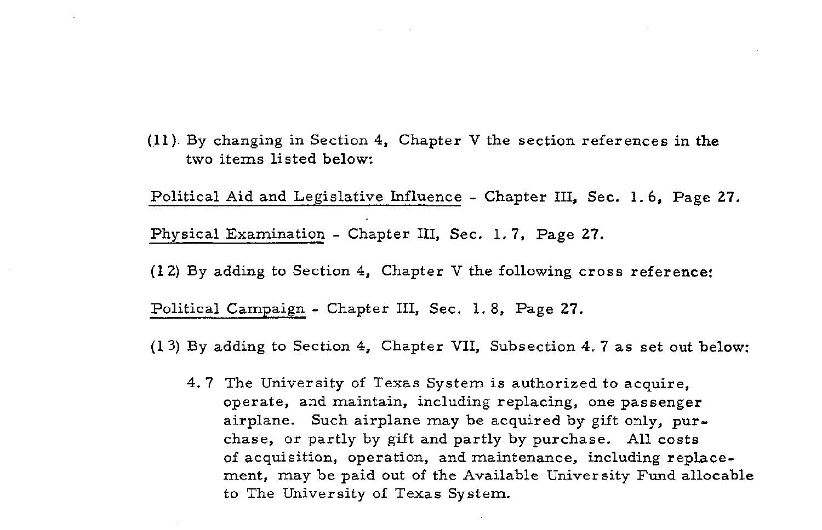(11). By changing in Section 4, Chapter V the section references in the two items listed below:

Political Aid and Legislative Influence - Chapter 111, Sec. 1.6, Page 27. Physical Examination - Chapter III, Sec. 1.7, Page 27.

(1 **2)** By adding to Section 4, Chapter V the following cross reference:

Political Campaign - Chapter 111, Sec. 1.8, Page 27.

(1 **3)** By adding to Section 4, Chapter VII, Subsection 4.7 as set out below:

4. 7 The University of Texas System is authorized to acquire, operate, and maintain, including replacing, one passenger airplane. Such airplane may be acquired by gift only, purchase, or partly by gift and partly by purchase. All costs of acquisition, operation, and maintenance, including replacement, may be paid out of the Available University Fund allocable to The University of Texas System.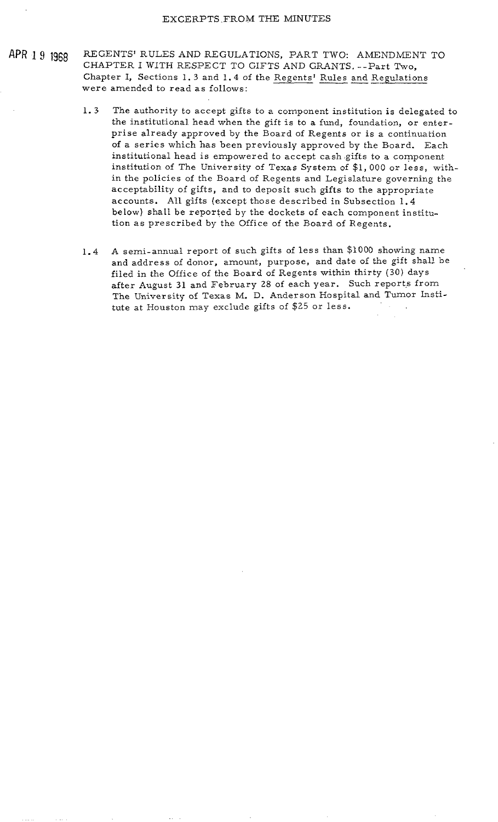- APR 1 9 1968 REGENTS' RULES AND REGULATIONS, PART TWO: AMENDMENT TO CHAPTER I WITH RESPECT TO GIFTS AND GRANTS. --Part Two, Chapter I, Sections 1. 3 and 1.4 of the Regents' Rules and Regulations were amended to read as follows:
	- 1. 3 The authority to accept gifts to a component institution is delegated to the institutional head when the gift is to a fund, foundation, or enterprise already approved by the Board of Regents or is a continuation of a series which has been previously approved by the Board. Each institutional head is empowered to accept cash gifts to a component institution of The University of Texas System of \$1, 000 or less, within the policies of the Board of Regents and Legislature governing the acceptability of gifts, and to deposit such gifts to the appropriate accounts. All gifts (except those described in Subsection 1.4 below) shall be reported by the dockets of each component institution as prescribed by the Office of the Board of Regents.
	- 1.4 A semi-annual report of such gifts of less than \$1000 showing name and address of donor, amount, purpose, and date of the gift shall be filed in the Office of the Board of Regents within thirty (30) days after August 31 and February 28 of each year. Such reports from The University of Texas M. D. Anderson Hospital and Tumor Institute at Houston may exclude gifts of \$25 or less.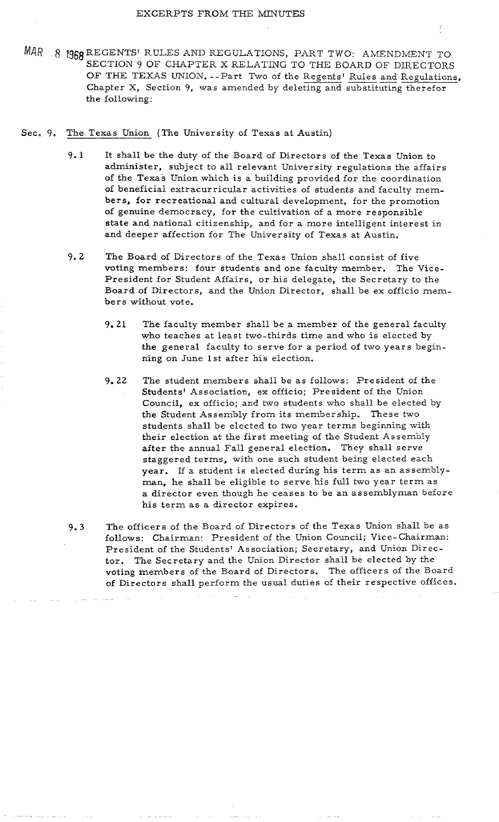- MAR 8 1968 REGENTS' RULES AND REGULATIONS, PART TWO: AMENDMENT TO SECTION 9 OF CHAPTER X RELATING TO THE BOARD OF DIRECTORS REGENTS' RULES AND REGULATIONS, PART TWO: AMENDISECTION 9 OF CHAPTER X RELATING TO THE BOARD OF DI<br>OF THE TEXAS UNION. --Part Two of the Regents' Rules and I<br>Chapter X, Section 9, was amended by deleting and substituting and Regulations, Chapter X, Section 9, was amended by deleting and substituting therefor the following:
- Sec. 9, The Texas Union (The University of Texas at Austin)
	- 9.1 It shall be the duty of the Board of Directors of the Texas Union to administer, subject to all relevant University regulations the affairs of the Texas Union which is a building provided for the coordination of beneficial extracurricular activities of students and faculty members, for recreational and cultural development, for the promotion of genuine democracy, for the cultivation of a more responsible state and national citizenship, and for a more intelligent interest in and deeper affection for The University of Texas at Austin.
	- 9. 2 The Board of Directors of the Texas Union shell consist of five voting members: four students and one faculty member. The Vice-President for Student Affairs, or his delegate, the Secretary to the Board of Directors, and the Union Director, shall be ex officio members without vote.
		- $9.21$ The faculty member shall be a member of the general faculty who teaches at least two-thirds time and who is elected by the general faculty to serve for a period of two years beginning on June 1st after his election.
		- $9.22$ The student members shall be as follows: President of the Students' Association, ex officio; President of the Union Council, ex officio; and two students who shall be elected by the Student Assembly from its membership. These two students shall be elected to two year terms beginning with their election at the first meeting of the Student Assembly after the annual Fall general election. They shall serve staggered terms, with one such student being elected each year. If a student is elected during his term as an assembly**man,** he shall be eligible to serve his full two year term as a director even though he ceases to be an assemblyman before his term as a director expires.
	- **9.3** The officers of the Board of Directors of the Texas Union shall be as follows: Chairman: President of the Union Council; Vice-chairman: President of the Students' Association; Secretary, and Union Director. The Secretary and the Union Director shall be elected by the voting members of the Board of Directors. The officers of the Board of Directors shall perform the usual duties of their respective offices.

-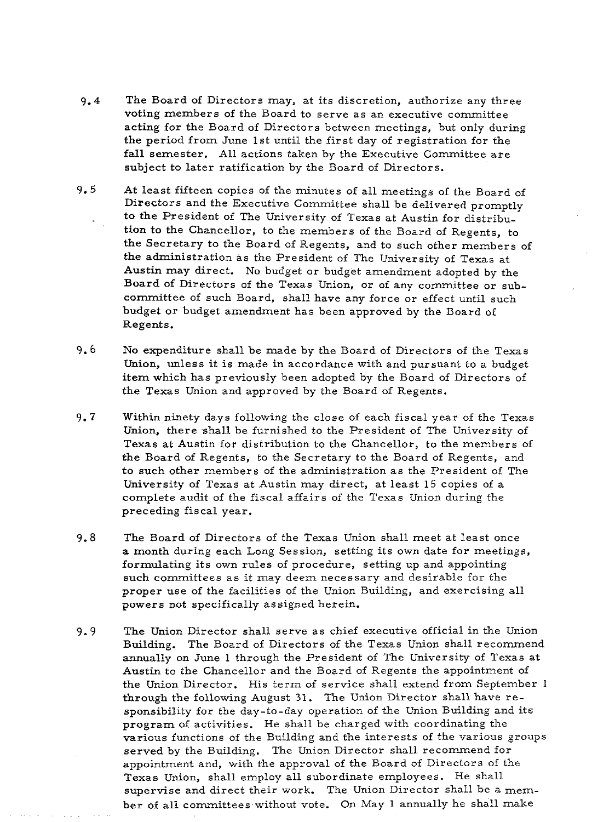- $9.4$ The Board of Directors may, at its discretion, authorize any three voting members of the Board to serve as an executive committee acting for the Board of Directors between meetings, but only during the period from June 1st until the first day of registration for the fall semester. All actions taken by the Executive Committee are subject to later ratification by the Board of Directors.
- $9.5$ At least fifteen copies of the minutes of all meetings of the Board of Directors and the Executive Committee shall be delivered promptly to the President of The University of Texas at Austin for distribution to the Chancellor, to the members of the Board of Regents, to the Secretary to the Board of Regents, and to such other members of the administration as the President of The University of Texas at Austin may direct. No budget or budget amendment adopted by the Board of Directors of the Texas Union, or of any committee or subcommittee of such Board, shall have any force or effect until such budget or budget amendment has been approved by the Board of Regents.
- $9.6$ No expenditure shall be made by the Board of Directors of the Texas Union, unless it is made in accordance with and pursuant to a budget item which has previously been adopted by the Board of Directors of the Texas Union and approved by the Board of Regents.
- $9.7$ Within ninety days following the close of each fiscal year of the Texas Union, there shall be furnished to the President of The University of Texas at Austin for distribution to the Chancellor, to the members of the Board of Regents, to the Secretary to the Board of Regents, and to such other members of the administration as the President of The University of Texas at Austin may direct, at least 15 copies of a complete audit of the fiscal affairs of the Texas Union during the preceding fiscal year.
- $9.8$ The Board of Directors of the Texas Union shall meet at least once a month during each Long Session, setting its own date for meetings, formulating its own rules of procedure, setting up and appointing such committees as it may deem necessary and desirable for the proper use of the facilities of the Union Building, and exercising all powers not specifically assigned herein.
- The Union Director shall serve as chief executive official in the Union  $9.9$ Building. The Board of Directors of the Texas Union shall recommend annually on June 1 through the President of The University of Texas at Austin to the Chancellor and the Board of Regents the appointment of the Union Director. His term of service shall extend from September 1 through the following August 31. The Union Director shall have responsibility for the day-to-day operation of the Union Building and its program of activities. He shall be charged with coordinating the various functions of the Building and the interests of the various groups served by the Building. The Union Director shall recommend for appointment and, with the approval of the Board of Directors of the Texas Union, shall employ all subordinate employees. He shall supervise and direct their work. The Union Director shall be a member of all committees without vote. On May 1 annually he shall make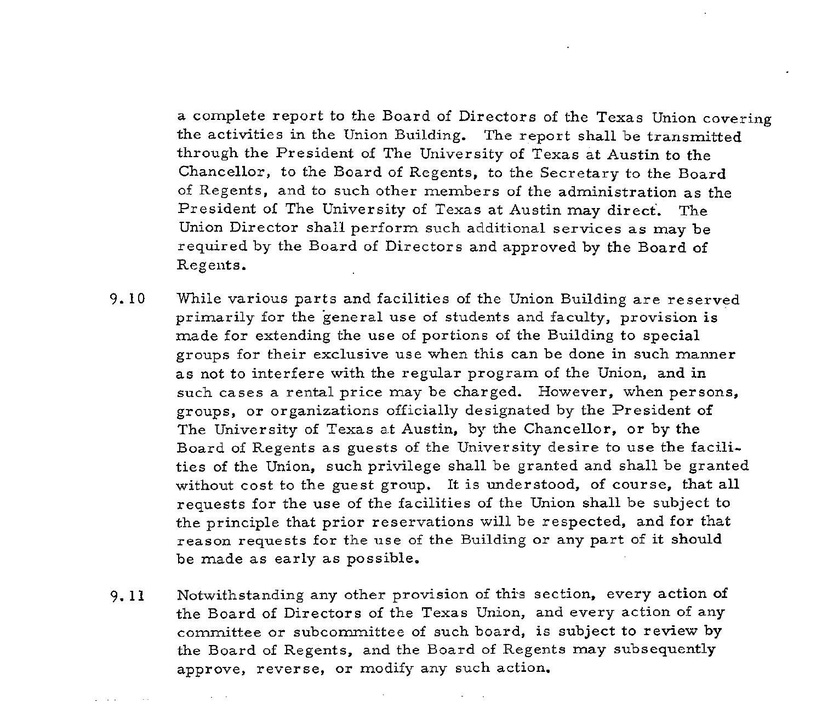a complete report to the Board of Directors of the Texas Union covering the activities in the Union Building. The report shall be transmitted through the President of The University of Texas at Austin to the Chancellor, to the Board of Regents, to the Secretary to the Board of Regents, and to such other members of the administration as the President of The University of Texas at Austin may direct. The Union Director shall perform such additional services as may be required by the Board of Directors and approved by the Board of Regents.

- 9.10 While various parts and facilities of the Union Building are reserved primarily for the general use of students and faculty, provision is made for extending the use of portions of the Building to special groups for their exclusive use when this can be done in such manner as not to interfere with the regular program of the Union, and in such cases a rental price may be charged. However, when persons, groups, or organizations officially designated by the President of The University of Texas at Austin, by the Chancellor, or by the Board of Regents as guests of the University desire to use the facilities of the Union, such privilege shall be granted and shall be granted without cost to the guest group. It is understood, of course, that all requests for the use of the facilities of the Union shall be subject to the principle that prior reservations will be respected, and for that reason requests for the use of the Building or any part of it should be made as early as possible.
- 9. 11 Notwithstanding any other provision of this section, every action of the Board of Directors of the Texas Union, and every action of any committee or subcommittee of such board, is subject to review by the Board of Regents, and the Board of Regents may subsequently approve, reverse, or modify any such action.

provide a control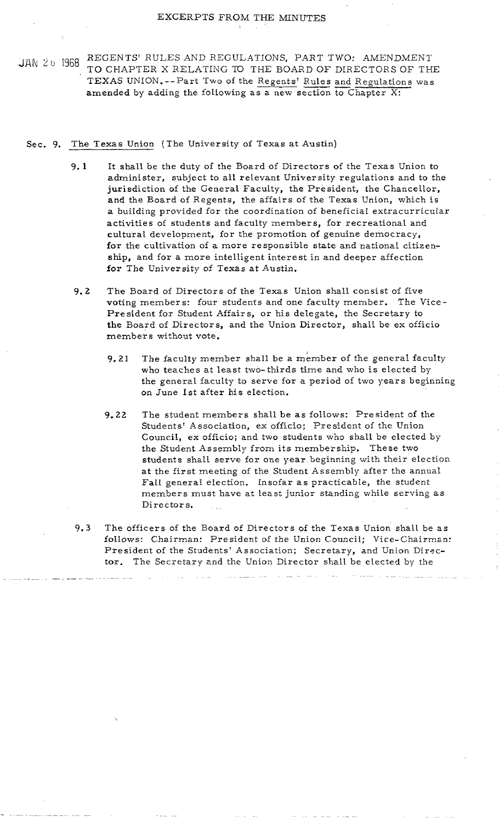$\begin{array}{ll} \begin{array}{c} \begin{array}{l} \begin{array}{l} \end{array} & \begin{array}{l} \end{array} & \begin{array}{l} \end{array} & \begin{array}{l} \end{array} & \begin{array}{l} \end{array} & \begin{array}{l} \end{array} & \begin{array}{l} \end{array} & \begin{array}{l} \end{array} & \begin{array}{l} \end{array} & \begin{array}{l} \end{array} & \begin{array}{l} \end{array} & \begin{array}{l} \end{array} & \begin{array}{l} \end{array} & \begin{array}{l} \end{array} & \begin{array}{l} \end{array} & \begin{array$ REGENTS' RULES AND REGULATIONS, PART TWO: AMENDMENT<br>TO CHAPTER X RELATING TO THE BOARD OF DIRECTORS OF THE<br>TEXAS UNION.--Part Two of the <u>Regents' Rules and Regulations</u> was<br>amended by adding the following as a new section amended by adding the following as a new section to Chapter X:

## Sec. 9. The Texas Union (The University of Texas at Austin)

- $9.1$ It shall be the duty of the Board of Directors of the Texas Union to administer, subject to all relevant University regulations and to the jurisdiction of the General Faculty, the President, the Chancellor, and the Board of Regents, the affairs of the Texas Union, which is a building provided for the coordination of beneficial extracurricular activities of students and faculty members, for recreational and cultural development, for the promotion of genuine democracy, for the cultivation of a more responsible state and national citizenship, and for a more intelligent interest in and deeper affection for The University of Texas at Austin.
- The Board of Directors of the Texas Union shall consist of five  $9.2$ voting members: four students and one faculty member. The Vice-President for Student Affairs, or his delegate, the Secretary to the Board of Directors, and the Union Director, shall be ex officio members without vote.
	- 9.21 The faculty member shall be a member of the general faculty who teaches at least two-thirds time and who is elected by the general faculty to serve for a period of two years beginning on June 1st after his election.
	- 9.22 The student members shall be as follows: President of the Students' Association, ex officio; President of the Union Council, ex officio; and two students who shall be elected by the Student Assembly from its membership. These two students shall serve for one year beginning with their election at the first meeting of the Student Assembly after the annual Fall general election. Insofar as practicable, the student members must have at least junior standing while serving as Directors.
- The officers of the Board of Directors of the Texas Union shall be as  $9.3$ follows: Chairman: President of the Union Council; Vice-Chairman: President of the Students' Association; Secretary, and Union Director. The Secretary and the Union Director shall be elected by the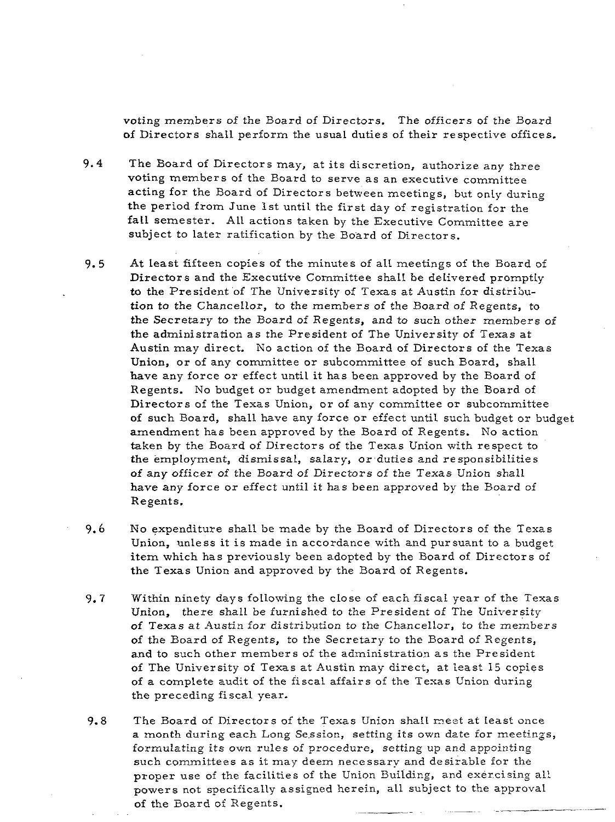voting members of the Board of Directors. The officers of the Board of Directors shall perform the usual duties of their respective offices.

- **9.4** The Board of Directors may, at its discretion, authorize any three voting members of the Board to serve as an executive committee acting for the Board of Directors between meetings, but only during the period from June 1st until the first day of registration for the fall semester. All actions taken by the Executive Committee are subject to later ratification by the Board of Directors.
- **9.5** At least fifteen copies of the minutes of all meetings of the Board of Directors and the Executive Committee shall be delivered promptly to the President of The University of Texas at Austin for distribution to the Chancellor, to the members of the Board of Regents, to the Secretary to the Board of Regents, and to such other members of the administration as the President of The University of Texas at Austin may direct. No action of the Board of Directors of the Texas Union, or of any committee or subcommittee of such Board, shall have any force or effect until it has been approved by the Board of Regents. No budget or budget amendment adopted by the Board of Directors of the Texas Union, or of any committee or subcommittee of such Board, shall have any force or effect until such budget or budget amendment has been approved by the Board of Regents. No action taken by the Board of Directors of the Texas Union with respect to the employment, dismissal, salary, or duties and responsibilities of any officer of the Board of Directors of the Texas Union shall have any force or effect until it has been approved by the Eoard of Regents.
- **9.6** No expenditure shall be made by the Board of Directors of the Texas Union, unless it is made in accordance with and pursuant to a budget item which has previously been adopted by the Board of Directors of the Texas Union and approved by the Board of Regents.
- **9.7** Within ninety days following the close of each fiscal year of the Texas Union, there shall be furnished to the President of The University of Texas at Austin for distribution to the Chancellor, to the members of the Board of Regents, to the Secretary to the Board of Regents, and to such other members of the administration as the President of The University of Texas at Austin may direct, at least 15 copies of a complete audit of the fiscal affairs of the Texas Union during the preceding fiscal year.
- 9.8 The Board of Directors of the Texas Union shall meet at least once a month during each Long Session, setting its own date for meetings, formulating its own rules of procedure, setting up and appointing such committees as it may deem necessary and desirable for the proper use of the facilities of the Union Building, and exercising al! powers not specifically assigned herein, all subject to the approval of the Board of Regents.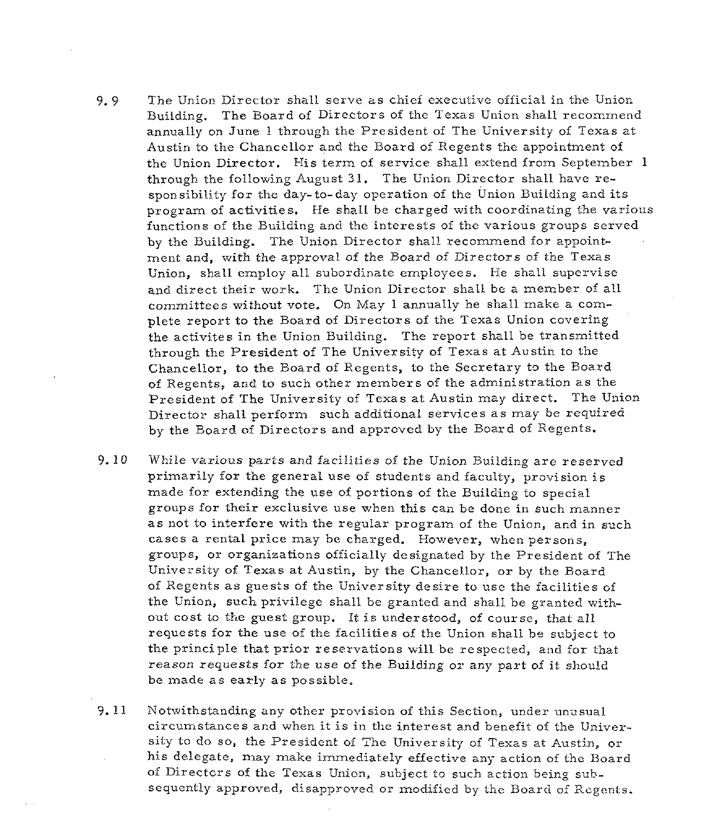- 9. 9 The Union Director shall serve as chief executive official in the Union Building. The Board of Directors of the Texas Union shall recommend annually on June 1 through the President of The University of Texas at Austin to the Chancellor and the Board of Regents the appointment of the Union Director. His term of service shall extend from September 1 through the following August 31. The Union Director shall have responsibility for the day-to-day operation of the Union Building and its program of activities. He shall be charged with coordinating the various functions of the Building and the interests of the various groups served by the Building. The Union Director shall recommend for appointment and, with the approval of the Board of Cirectors of the Texas Union, shall employ all subordinate employees. He shall supervise and direct their work. The Union Director shall be a member of all committees without vote. On May 1 annually he shall make a complete report to the Board of Directors of the Texas Union covering the activites in the Union Building. The report shall be transmitted through the President of The University of Texas at Austin to the Chancellor, to the Board of Regents, to the Secretary to the Board of Regents, and to such other members of the administration as the President of The University of Texas at Austin may direct. The Union Director shall perform such additional services as may be required by the Board of Directors and approved by the Board of Regents.
- 9.10 While various parts and facilities of the Union Building are reserved primarily for the general use of students and faculty, provision is made for extending the use of portions of the Building to special groups for their exclusive use when this can be done in such manner as not to interfere with the regular program of the Union, and in such cases a rental price may be charged. However, when persons, groups, or organizations officially designated by the President of The University of Texas at Austin, by the Chancellor, or by the Board of Regents as guests of the University desire to use the facilities of the Union, such privilege shall be granted and shall be granted without cost to the guest group. It is understood, of course, that all requests for the use of the facilities of the Union shall be subject to the principle that prior reservations will be respected, and for that reason requests for the use of the Building or any part of it should be made as early as possible.
- 9. 11 Notwithstanding any other provision of this Section, under ungsual circumstances and when it is in the interest and benefit of the University to do so, the President of The University of Texas at Austin, or his delegate, may make immediately effective any action of the Board of Directcrs of the Texas Union, subject to such action being subsequently approved, disapproved or modified by the Board of Regents.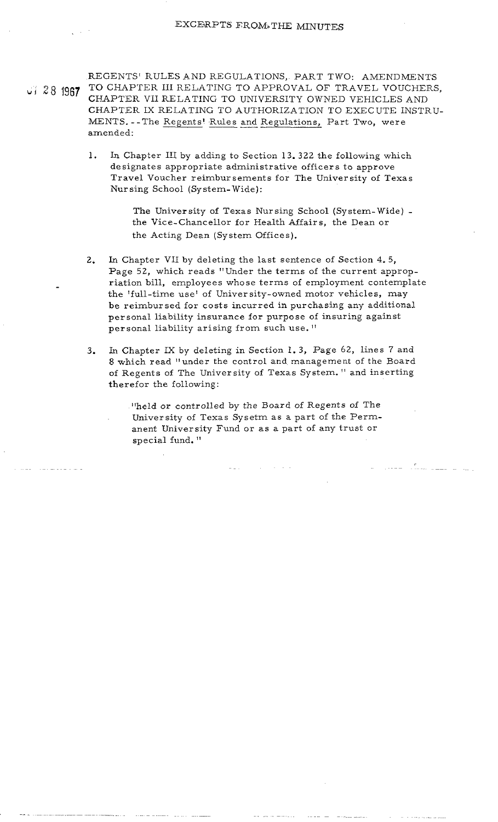REGENTS' RULES AND REGULATIONS, PART TWO: AMENDMENTS JJ 28 1987 TO CHAPTER III RELATING TO APPROVAL OF TRAVEL VOUCHERS, CHAPTER VII RELATING TO UNIVERSITY OWNED VEHICLES AND CHAPTER IX RELATING TO AUTHORIZATION TO EXEC UTE INSTRU-CHAPTER VII RELAT.<br>CHAPTER IX RELATI<br>MENTS. - - The <u>Regents</u><br>amended: LES AND REGULATIONS, PART TWO:<br>III RELATING TO APPROVAL OF TRA<br>RELATING TO UNIVERSITY OWNED V.<br>ELATING TO AUTHORIZATION TO EX<br>Regents' Rules and Regulations, Part T Part Two, were amended:

> 1. In Chapter 111 by adding to Section 13. 322 the following which designates appropriate administrative officers to approve Travel Voucher reimbursements for The University of Texas Nursing School (System- Wide):

> > The University of Texas Nursing School (System- Wide) the Vice-Chancellor for Health Affairs, the Dean or the Acting Dean (System Offices).

- 2. **Ln** Chapter VII by deleting the last sentence of Section 4. 5, Page 52, which reads "Under the terms of the current appropriation bill, employees whose terms of employment contemplate the 'full-time use' of University-owned motor vehicles, may be reimbursed for costs incurred in purchasing any additional personal liability insurance for purpose of insuring against personal liability arising from such use.<sup>11</sup>
- **3.** In Chapter IX by deleting in Section 1. 3, Page 62, lines 7 and 8 which read "under the control and management of the Board of Regents of The University of Texas System. " and inserting therefor the following:

"held or controlled by the Board of Regents of The University of Texas Sysetm as a part of the Permanent University Fund or as a part of any trust or special fund. "